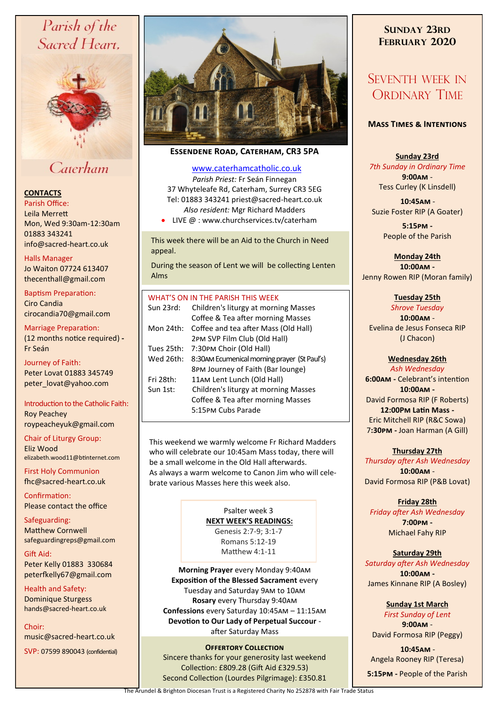# Parish of the Sacred Heart,



# Caterham

# **CONTACTS**

Parish Office: Leila Merrett Mon, Wed 9:30am-12:30am 01883 343241 info@sacred-heart.co.uk .

#### Halls Manager

Jo Waiton 07724 613407 thecenthall@gmail.com

Baptism Preparation: Ciro Candia cirocandia70@gmail.com

# Marriage Preparation: (12 months notice required) **-**

Fr Seán Journey of Faith: Peter Lovat 01883 345749 peter\_lovat@yahoo.com

#### Introduction to the Catholic Faith: Roy Peachey

roypeacheyuk@gmail.com

Chair of Liturgy Group: Eliz Wood elizabeth.wood11@btinternet.com

First Holy Communion fhc@sacred-heart.co.uk

Confirmation: Please contact the office

Safeguarding: Matthew Cornwell safeguardingreps@gmail.com

Gift Aid: Peter Kelly 01883 330684 peterfkelly67@gmail.com

Health and Safety: Dominique Sturgess hands@sacred-heart.co.uk

Choir: music@sacred-heart.co.uk

SVP: 07599 890043 (confidential)



# **Essendene Road, Caterham, CR3 5PA**

## [www.caterhamcatholic.co.uk](http://Www.caterhamcatholic.co.uk)

*Parish Priest:* Fr Seán Finnegan 37 Whyteleafe Rd, Caterham, Surrey CR3 5EG Tel: 01883 343241 priest@sacred-heart.co.uk *Also resident:* Mgr Richard Madders

• LIVE @ : www.churchservices.tv/caterham

This week there will be an Aid to the Church in Need appeal.

During the season of Lent we will be collecting Lenten Alms

## WHAT'S ON IN THE PARISH THIS WEEK.

| Sun 23rd:  | Children's liturgy at morning Masses<br>Coffee & Tea after morning Masses |
|------------|---------------------------------------------------------------------------|
| Mon 24th:  | Coffee and tea after Mass (Old Hall)<br>2PM SVP Film Club (Old Hall)      |
| Tues 25th: | 7:30PM Choir (Old Hall)                                                   |
| Wed 26th:  | 8:30AM Ecumenical morning prayer (St Paul's)                              |
|            | 8PM Journey of Faith (Bar lounge)                                         |
| Fri 28th:  | 11AM Lent Lunch (Old Hall)                                                |
| Sun 1st:   | Children's liturgy at morning Masses                                      |
|            | Coffee & Tea after morning Masses                                         |
|            | 5:15PM Cubs Parade                                                        |
|            |                                                                           |

This weekend we warmly welcome Fr Richard Madders who will celebrate our 10:45am Mass today, there will be a small welcome in the Old Hall afterwards. As always a warm welcome to Canon Jim who will celebrate various Masses here this week also.

> Psalter week 3 **NEXT WEEK'S READINGS:**  Genesis 2:7-9; 3:1-7 Romans 5:12-19 Matthew 4:1-11

**Morning Prayer** every Monday 9:40am **Exposition of the Blessed Sacrament** every Tuesday and Saturday 9am to 10am **Rosary** every Thursday 9:40am **Confessions** every Saturday 10:45am – 11:15am **Devotion to Our Lady of Perpetual Succour**  after Saturday Mass

## **Offertory Collection**

Sincere thanks for your generosity last weekend Collection: £809.28 (Gift Aid £329.53) Second Collection (Lourdes Pilgrimage): £350.81

# **SUNDAY 23RD FEBRUARY 2020**

# SEVENTH WEEK IN ORDINARY TIME

## **Mass Times & Intentions**

## **Sunday 23rd**

*7th Sunday in Ordinary Time* **9:00am** - Tess Curley (K Linsdell)

.**10:45am** - Suzie Foster RIP (A Goater)

> **5:15pm -** People of the Parish

**Monday 24th 10:00am -** Jenny Rowen RIP (Moran family)

#### **Tuesday 25th**

*Shrove Tuesday* **10:00am** - Evelina de Jesus Fonseca RIP (J Chacon)

## **Wednesday 26th**

*Ash Wednesday* **6:00am -** Celebrant's intention **10:00am -** David Formosa RIP (F Roberts) **12:00Pm Latin Mass -** Eric Mitchell RIP (R&C Sowa) 7**:30pm -** Joan Harman (A Gill)

## **Thursday 27th**

*Thursday after Ash Wednesday* **10:00am** - David Formosa RIP (P&B Lovat)

#### **Friday 28th** *Friday after Ash Wednesday* **7:00pm -** Michael Fahy RIP

# **Saturday 29th**

*Saturday after Ash Wednesday* **10:00am -**  James Kinnane RIP (A Bosley)

> **Sunday 1st March** *First Sunday of Lent*

**9:00am** - David Formosa RIP (Peggy)

.**10:45am** - Angela Rooney RIP (Teresa)

**5:15pm -** People of the Parish

The Arundel & Brighton Diocesan Trust is a Registered Charity No 252878 with Fair Trade Status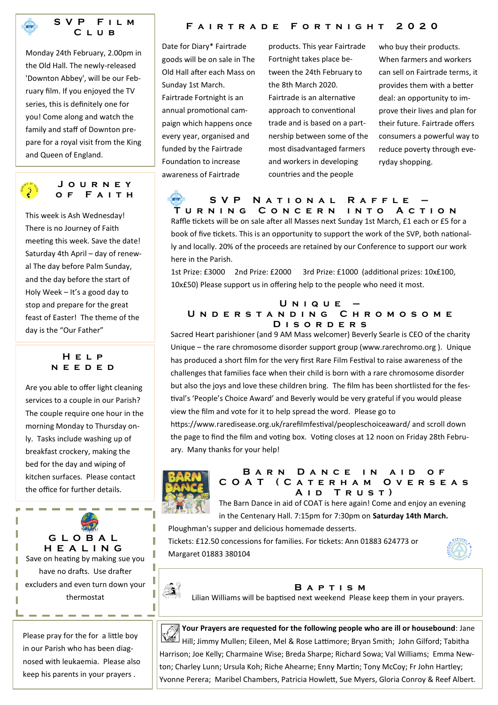

**S V P F i l m C l u b**

Monday 24th February, 2.00pm in the Old Hall. The newly-released 'Downton Abbey', will be our February film. If you enjoyed the TV series, this is definitely one for you! Come along and watch the family and staff of Downton prepare for a royal visit from the King and Queen of England.

## **J o u r n e y o f F a i t h**

This week is Ash Wednesday! There is no Journey of Faith meeting this week. Save the date! Saturday 4th April – day of renewal The day before Palm Sunday, and the day before the start of Holy Week – It's a good day to stop and prepare for the great feast of Easter! The theme of the day is the "Our Father"

# **H e l p n e e d e d**

Are you able to offer light cleaning services to a couple in our Parish? The couple require one hour in the morning Monday to Thursday only. Tasks include washing up of breakfast crockery, making the bed for the day and wiping of kitchen surfaces. Please contact the office for further details.

**G L O B A L H E A L I N G** Save on heating by making sue you have no drafts. Use drafter excluders and even turn down your thermostat

Please pray for the for a little boy in our Parish who has been diagnosed with leukaemia. Please also keep his parents in your prayers .

# **F a i r t r a d e F o r t n i g h t 2 0 2 0**

Date for Diary\* Fairtrade goods will be on sale in The Old Hall after each Mass on Sunday 1st March. Fairtrade Fortnight is an annual promotional campaign which happens once every year, organised and funded by the Fairtrade Foundation to increase awareness of Fairtrade

products. This year Fairtrade Fortnight takes place between the 24th February to the 8th March 2020. Fairtrade is an alternative approach to conventional trade and is based on a partnership between some of the most disadvantaged farmers and workers in developing countries and the people

who buy their products. When farmers and workers can sell on Fairtrade terms, it provides them with a better deal: an opportunity to improve their lives and plan for their future. Fairtrade offers consumers a powerful way to reduce poverty through everyday shopping.

# **S V P N a t i o n a l R a f f l e – T u r n i n g C o n c e r n i n t o A c t i o n**

Raffle tickets will be on sale after all Masses next Sunday 1st March, £1 each or £5 for a book of five tickets. This is an opportunity to support the work of the SVP, both nationally and locally. 20% of the proceeds are retained by our Conference to support our work here in the Parish.

1st Prize: £3000 2nd Prize: £2000 3rd Prize: £1000 (additional prizes: 10x£100, 10x£50) Please support us in offering help to the people who need it most.

#### **U n i q u e – U n d e r s t a n d i n g C h r o m o s o m e D i s o r d e r s**

Sacred Heart parishioner (and 9 AM Mass welcomer) Beverly Searle is CEO of the charity Unique – the rare chromosome disorder support group (www.rarechromo.org ). Unique has produced a short film for the very first Rare Film Festival to raise awareness of the challenges that families face when their child is born with a rare chromosome disorder but also the joys and love these children bring. The film has been shortlisted for the festival's 'People's Choice Award' and Beverly would be very grateful if you would please view the film and vote for it to help spread the word. Please go to

https://www.raredisease.org.uk/rarefilmfestival/peopleschoiceaward/ and scroll down the page to find the film and voting box. Voting closes at 12 noon on Friday 28th February. Many thanks for your help!



## **BARN DANCE IN AID OF C O A T ( C a t e r h a m O v e r s e a s A i d T r u s t )**

The Barn Dance in aid of COAT is here again! Come and enjoy an evening in the Centenary Hall. 7:15pm for 7:30pm on **Saturday 14th March.** 

Ploughman's supper and delicious homemade desserts.

Tickets: £12.50 concessions for families. For tickets: Ann 01883 624773 or Margaret 01883 380104





Т T I

Ţ Ţ

## **B a p t i s m**

Lilian Williams will be baptised next weekend Please keep them in your prayers.



**Your Prayers are requested for the following people who are ill or housebound**: Jane Hill; Jimmy Mullen; Eileen, Mel & Rose Lattimore; Bryan Smith; John Gilford; Tabitha Harrison; Joe Kelly; Charmaine Wise; Breda Sharpe; Richard Sowa; Val Williams; Emma Newton; Charley Lunn; Ursula Koh; Riche Ahearne; Enny Martin; Tony McCoy; Fr John Hartley; Yvonne Perera; Maribel Chambers, Patricia Howlett, Sue Myers, Gloria Conroy & Reef Albert.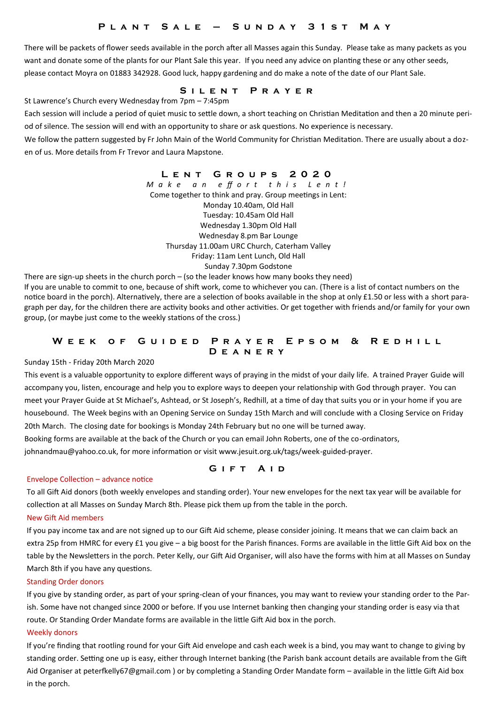# **P l a n t S a l e – S u n d a y 3 1 s t M a y**

There will be packets of flower seeds available in the porch after all Masses again this Sunday. Please take as many packets as you want and donate some of the plants for our Plant Sale this year. If you need any advice on planting these or any other seeds, please contact Moyra on 01883 342928. Good luck, happy gardening and do make a note of the date of our Plant Sale.

# **S i l e n t P r a y e r**

St Lawrence's Church every Wednesday from 7pm – 7:45pm

Each session will include a period of quiet music to settle down, a short teaching on Christian Meditation and then a 20 minute period of silence. The session will end with an opportunity to share or ask questions. No experience is necessary.

We follow the pattern suggested by Fr John Main of the World Community for Christian Meditation. There are usually about a dozen of us. More details from Fr Trevor and Laura Mapstone.

> **L e n t G r o u p s 2 0 2 0** *M a k e a n e ff o r t t h i s L e n t !* Come together to think and pray. Group meetings in Lent: Monday 10.40am, Old Hall Tuesday: 10.45am Old Hall Wednesday 1.30pm Old Hall Wednesday 8.pm Bar Lounge Thursday 11.00am URC Church, Caterham Valley Friday: 11am Lent Lunch, Old Hall Sunday 7.30pm Godstone

There are sign-up sheets in the church porch – (so the leader knows how many books they need) If you are unable to commit to one, because of shift work, come to whichever you can. (There is a list of contact numbers on the notice board in the porch). Alternatively, there are a selection of books available in the shop at only £1.50 or less with a short paragraph per day, for the children there are activity books and other activities. Or get together with friends and/or family for your own group, (or maybe just come to the weekly stations of the cross.)

#### **WEEK OF GUIDED PRAYER EPSOM & REDHILL D e a n e r y**

Sunday 15th - Friday 20th March 2020

This event is a valuable opportunity to explore different ways of praying in the midst of your daily life. A trained Prayer Guide will accompany you, listen, encourage and help you to explore ways to deepen your relationship with God through prayer. You can meet your Prayer Guide at St Michael's, Ashtead, or St Joseph's, Redhill, at a time of day that suits you or in your home if you are housebound. The Week begins with an Opening Service on Sunday 15th March and will conclude with a Closing Service on Friday 20th March. The closing date for bookings is Monday 24th February but no one will be turned away.

Booking forms are available at the back of the Church or you can email John Roberts, one of the co-ordinators,

johnandmau@yahoo.co.uk, for more information or visit www.jesuit.org.uk/tags/week-guided-prayer.

#### Envelope Collection – advance notice

To all Gift Aid donors (both weekly envelopes and standing order). Your new envelopes for the next tax year will be available for collection at all Masses on Sunday March 8th. Please pick them up from the table in the porch.

#### New Gift Aid members

If you pay income tax and are not signed up to our Gift Aid scheme, please consider joining. It means that we can claim back an extra 25p from HMRC for every £1 you give – a big boost for the Parish finances. Forms are available in the little Gift Aid box on the table by the Newsletters in the porch. Peter Kelly, our Gift Aid Organiser, will also have the forms with him at all Masses on Sunday March 8th if you have any questions.

#### Standing Order donors

If you give by standing order, as part of your spring-clean of your finances, you may want to review your standing order to the Parish. Some have not changed since 2000 or before. If you use Internet banking then changing your standing order is easy via that route. Or Standing Order Mandate forms are available in the little Gift Aid box in the porch.

#### Weekly donors

If you're finding that rootling round for your Gift Aid envelope and cash each week is a bind, you may want to change to giving by standing order. Setting one up is easy, either through Internet banking (the Parish bank account details are available from the Gift Aid Organiser at peterfkelly67@gmail.com ) or by completing a Standing Order Mandate form – available in the little Gift Aid box in the porch.

**GIFT AID**